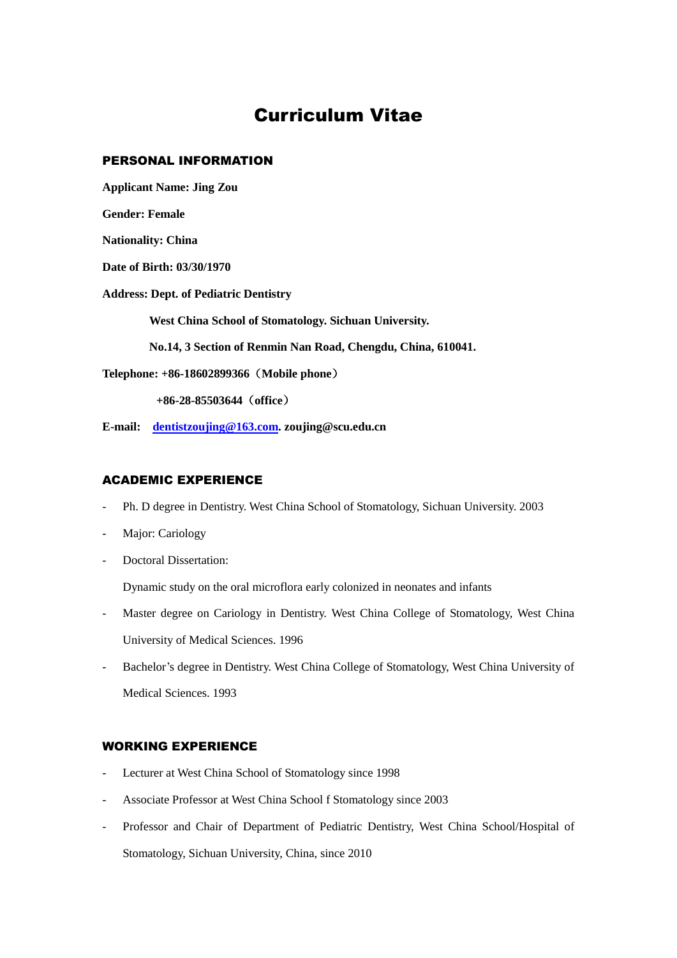# Curriculum Vitae

## PERSONAL INFORMATION

- **Applicant Name: Jing Zou Gender: Female Nationality: China Date of Birth: 03/30/1970 Address: Dept. of Pediatric Dentistry West China School of Stomatology. Sichuan University. No.14, 3 Section of Renmin Nan Road, Chengdu, China, 610041. Telephone: +86-18602899366**(**Mobile phone**)  **+86-28-85503644**(**office**)
- **E-mail: [dentistzoujing@163.com.](mailto:dentistzoujing@163.com) zoujing@scu.edu.cn**

# ACADEMIC EXPERIENCE

- Ph. D degree in Dentistry. West China School of Stomatology, Sichuan University. 2003
- Major: Cariology
- Doctoral Dissertation:

Dynamic study on the oral microflora early colonized in neonates and infants

- Master degree on Cariology in Dentistry. West China College of Stomatology, West China University of Medical Sciences. 1996
- Bachelor's degree in Dentistry. West China College of Stomatology, West China University of Medical Sciences. 1993

# WORKING EXPERIENCE

- Lecturer at West China School of Stomatology since 1998
- Associate Professor at West China School f Stomatology since 2003
- Professor and Chair of Department of Pediatric Dentistry, West China School/Hospital of Stomatology, Sichuan University, China, since 2010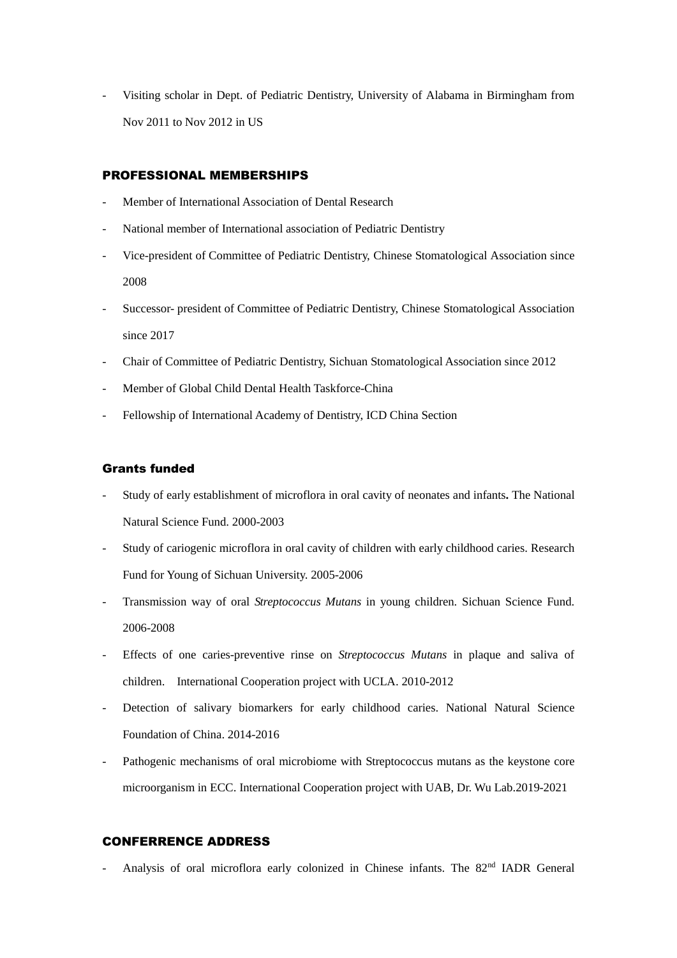- Visiting scholar in Dept. of Pediatric Dentistry, University of Alabama in Birmingham from Nov 2011 to Nov 2012 in US

#### PROFESSIONAL MEMBERSHIPS

- Member of International Association of Dental Research
- National member of International association of Pediatric Dentistry
- Vice-president of Committee of Pediatric Dentistry, Chinese Stomatological Association since 2008
- Successor- president of Committee of Pediatric Dentistry, Chinese Stomatological Association since 2017
- Chair of Committee of Pediatric Dentistry, Sichuan Stomatological Association since 2012
- Member of Global Child Dental Health Taskforce-China
- Fellowship of International Academy of Dentistry, ICD China Section

## Grants funded

- Study of early establishment of microflora in oral cavity of neonates and infants**.** The National Natural Science Fund. 2000-2003
- Study of cariogenic microflora in oral cavity of children with early childhood caries. Research Fund for Young of Sichuan University. 2005-2006
- Transmission way of oral *Streptococcus Mutans* in young children. Sichuan Science Fund. 2006-2008
- Effects of one caries-preventive rinse on *Streptococcus Mutans* in plaque and saliva of children. International Cooperation project with UCLA. 2010-2012
- Detection of salivary biomarkers for early childhood caries. National Natural Science Foundation of China. 2014-2016
- Pathogenic mechanisms of oral microbiome with Streptococcus mutans as the keystone core microorganism in ECC. International Cooperation project with UAB, Dr. Wu Lab.2019-2021

## CONFERRENCE ADDRESS

- Analysis of oral microflora early colonized in Chinese infants. The 82nd IADR General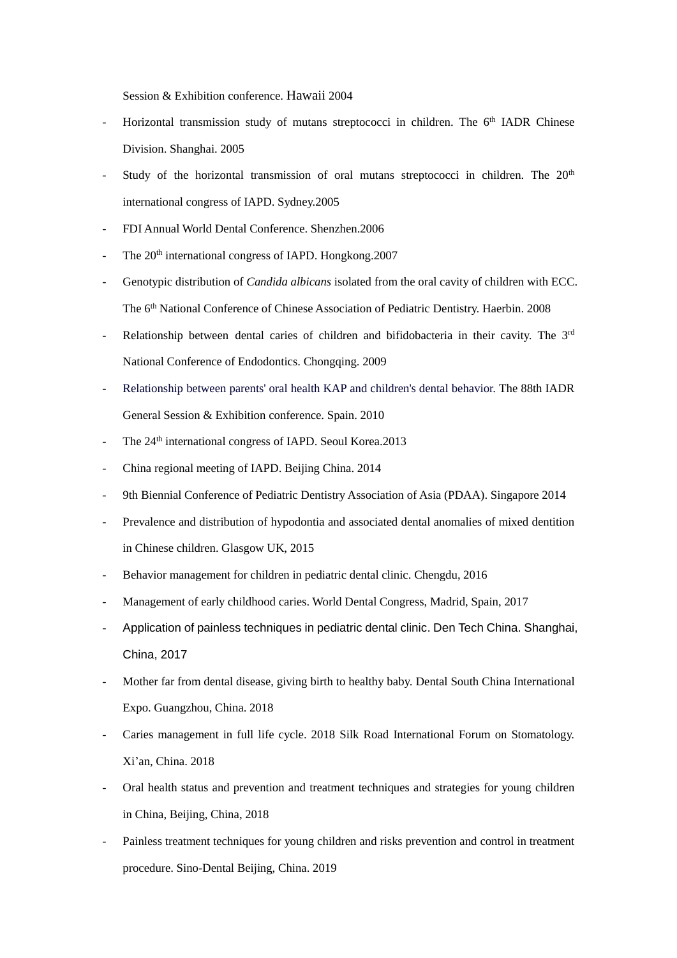Session & Exhibition conference. Hawaii 2004

- Horizontal transmission study of mutans streptococci in children. The  $6<sup>th</sup>$  IADR Chinese Division. Shanghai. 2005
- Study of the horizontal transmission of oral mutans streptococci in children. The  $20<sup>th</sup>$ international congress of IAPD. Sydney.2005
- FDI Annual World Dental Conference. Shenzhen.2006
- The 20<sup>th</sup> international congress of IAPD. Hongkong.2007
- Genotypic distribution of *Candida albicans* isolated from the oral cavity of children with ECC. The 6th National Conference of Chinese Association of Pediatric Dentistry. Haerbin. 2008
- Relationship between dental caries of children and bifidobacteria in their cavity. The  $3<sup>rd</sup>$ National Conference of Endodontics. Chongqing. 2009
- Relationship between parents' oral health KAP and children's dental behavior. The 88th IADR General Session & Exhibition conference. Spain. 2010
- The 24<sup>th</sup> international congress of IAPD. Seoul Korea.2013
- China regional meeting of IAPD. Beijing China. 2014
- 9th Biennial Conference of Pediatric Dentistry Association of Asia (PDAA). Singapore 2014
- Prevalence and distribution of hypodontia and associated dental anomalies of mixed dentition in Chinese children. Glasgow UK, 2015
- Behavior management for children in pediatric dental clinic. Chengdu, 2016
- Management of early childhood caries. World Dental Congress, Madrid, Spain, 2017
- Application of painless techniques in pediatric dental clinic. Den Tech China. Shanghai, China, 2017
- Mother far from dental disease, giving birth to healthy baby. Dental South China International Expo. Guangzhou, China. 2018
- Caries management in full life cycle. 2018 Silk Road International Forum on Stomatology. Xi'an, China. 2018
- Oral health status and prevention and treatment techniques and strategies for young children in China, Beijing, China, 2018
- Painless treatment techniques for young children and risks prevention and control in treatment procedure. Sino-Dental Beijing, China. 2019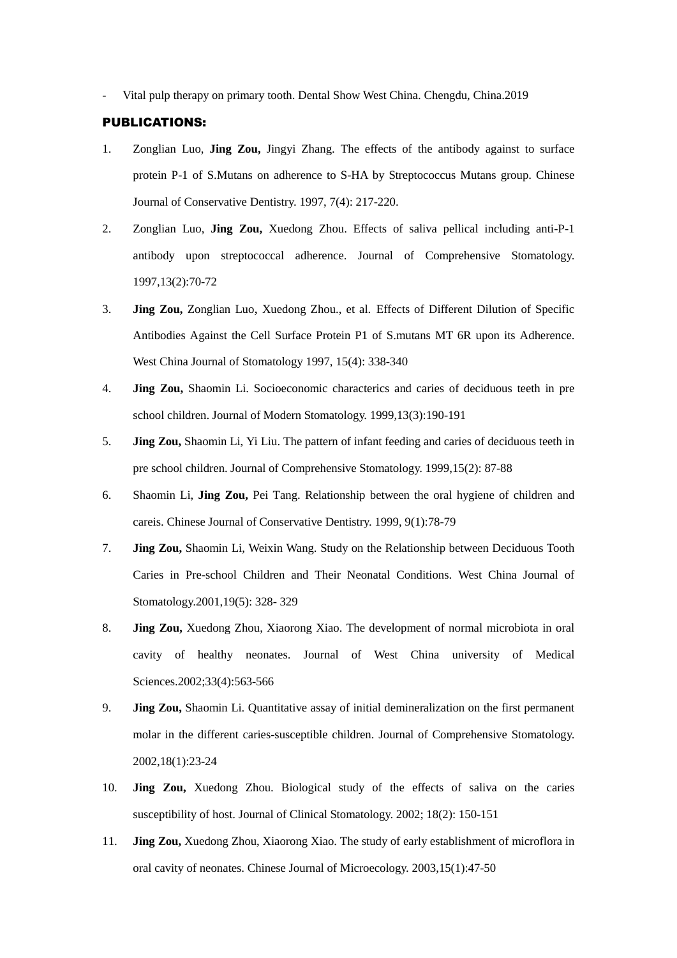- Vital pulp therapy on primary tooth. Dental Show West China. Chengdu, China.2019

#### PUBLICATIONS:

- 1. Zonglian Luo, **Jing Zou,** Jingyi Zhang. The effects of the antibody against to surface protein P-1 of S.Mutans on adherence to S-HA by Streptococcus Mutans group. Chinese Journal of Conservative Dentistry. [1997, 7\(4\)](http://211.151.91.76/chkdcharge/chkj/qk.asp?encode=gb&filename=UDUVUUUZTZTYTQTTSEVZVUVZVTTXTQTUSETQTQTQ&title=牙体牙髓牙周病学杂志1997年04期): 217-220.
- 2. Zonglian Luo, **Jing Zou,** Xuedong Zhou. Effects of saliva pellical including anti-P-1 antibody upon streptococcal adherence. Journal of Comprehensive Stomatology. 1997,13(2):70-72
- 3. **Jing Zou,** Zonglian Luo, Xuedong Zhou., et al. Effects of Different Dilution of Specific Antibodies Against the Cell Surface Protein P1 of S.mutans MT 6R upon its Adherence. West China Journal of Stomatology 1997, 15(4): 338-340
- 4. **Jing Zou,** Shaomin Li. Socioeconomic characterics and caries of deciduous teeth in pre school children. Journal of Modern Stomatology. 1999,13(3):190-191
- 5. **Jing Zou,** Shaomin Li, Yi Liu. The pattern of infant feeding and caries of deciduous teeth in pre school children. Journal of Comprehensive Stomatology. 1999,15(2): 87-88
- 6. Shaomin Li, **Jing Zou,** Pei Tang. Relationship between the oral hygiene of children and careis. Chinese Journal of Conservative Dentistry. 1999, 9(1):78-79
- 7. **Jing Zou,** Shaomin Li, Weixin Wang. Study on the Relationship between Deciduous Tooth Caries in Pre-school Children and Their Neonatal Conditions. West China Journal of Stomatology.2001,19(5): 328- 329
- 8. **Jing Zou,** Xuedong Zhou, Xiaorong Xiao. The development of normal microbiota in oral cavity of healthy neonates. Journal of West China university of Medical Sciences.2002;33(4):563-566
- 9. **Jing Zou,** Shaomin Li. Quantitative assay of initial demineralization on the first permanent molar in the different caries-susceptible children. Journal of Comprehensive Stomatology. 2002,18(1):23-24
- 10. **Jing Zou,** Xuedong Zhou. Biological study of the effects of saliva on the caries susceptibility of host. Journal of Clinical Stomatology. 2002; 18(2): 150-151
- 11. **Jing Zou,** Xuedong Zhou, Xiaorong Xiao. The study of early establishment of microflora in oral cavity of neonates. Chinese Journal of Microecology. 2003,15(1):47-50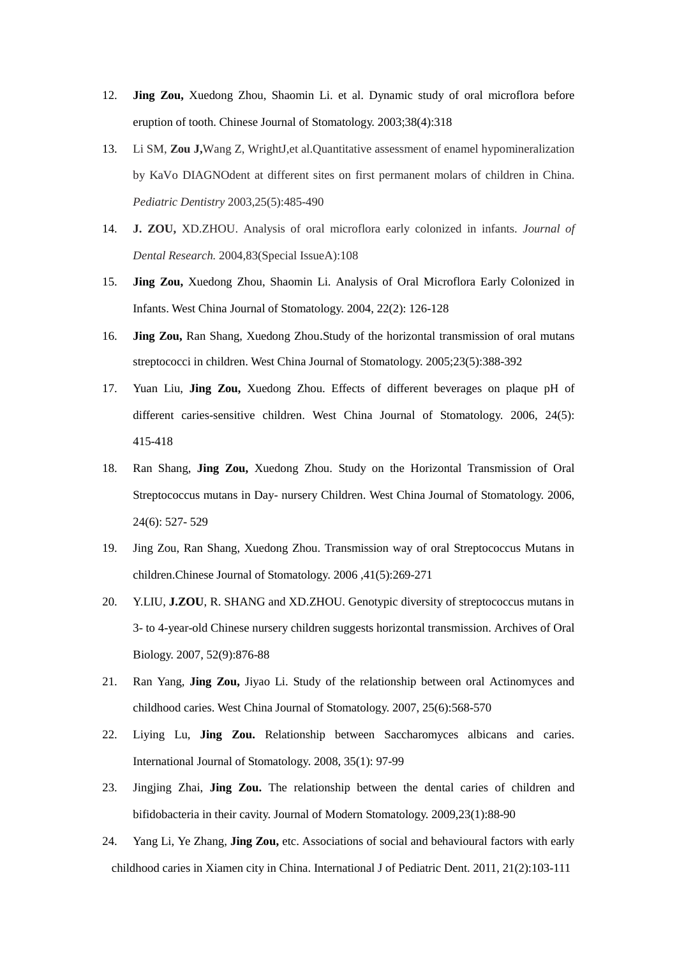- 12. **Jing Zou,** Xuedong Zhou, Shaomin Li. et al. Dynamic study of oral microflora before eruption of tooth. [Chinese Journal of Stomatology. 2003;38\(4\):](http://211.151.91.76/chkdcharge/chkj/qk.asp?encode=gb&filename=UDUVUUUZTQTTTQTZSEVAUYUBVZTSTQTQTTTQTUTQTTTU&title=中华口腔医学杂志2003年04期)318
- 13. Li SM, **Zou J,**Wang Z, WrightJ,et al.Quantitative assessment of enamel hypomineralization by KaVo DIAGNOdent at different sites on first permanent molars of children in China. *Pediatric Dentistry* 2003,25(5):485-490
- 14. **J. ZOU,** XD.ZHOU. Analysis of oral microflora early colonized in infants. *Journal of Dental Research.* 2004,83(Special IssueA):108
- 15. **Jing Zou,** Xuedong Zhou, Shaomin Li. Analysis of Oral Microflora Early Colonized in Infants. West China Journal of Stomatology. [2004, 22\(2\):](http://211.151.91.76/chkdcharge/chkj/qk.asp?encode=gb&filename=UDUVUUUZTQTUTQTWSEUYVYUBVRTSTQTQTUTQTSTQTRTT&title=华西口腔医学杂志2004年02期) 126-128
- 16. **Jing Zou,** Ran Shang, Xuedong Zhou.Study of the horizontal transmission of oral mutans streptococci in children. West China Journal of Stomatology. 2005;23(5):388-392
- 17. Yuan Liu, **Jing Zou,** Xuedong Zhou. Effects of different beverages on plaque pH of different caries-sensitive children. West China Journal of Stomatology. 2006, 24(5): 415-418
- 18. Ran Shang, **Jing Zou,** Xuedong Zhou. Study on the Horizontal Transmission of Oral Streptococcus mutans in Day- nursery Children. West China Journal of Stomatology. 2006, 24(6): 527- 529
- 19. Jing Zou, Ran Shang, Xuedong Zhou. Transmission way of oral Streptococcus Mutans in children.Chinese Journal of Stomatology. 2006 ,41(5):269-271
- 20. Y.LIU, **J.ZOU**, R. SHANG and XD.ZHOU. Genotypic diversity of streptococcus mutans in 3- to 4-year-old Chinese nursery children suggests horizontal transmission. Archives of Oral Biology. 2007, 52(9):876-88
- 21. Ran Yang, **Jing Zou,** Jiyao Li. Study of the relationship between oral Actinomyces and childhood caries. West China Journal of Stomatology. 2007, 25(6):568-570
- 22. Liying Lu, **Jing Zou.** Relationship between Saccharomyces albicans and caries. International Journal of Stomatology. 2008, 35(1): 97-99
- 23. Jingjing Zhai, **Jing Zou.** The relationship between the dental caries of children and bifidobacteria in their cavity. Journal of Modern Stomatology. 2009,23(1):88-90
- 24. Yang Li, Ye Zhang, **Jing Zou,** etc. Associations of social and behavioural factors with early childhood caries in Xiamen city in China. International J of Pediatric Dent. 2011, 21(2):103-111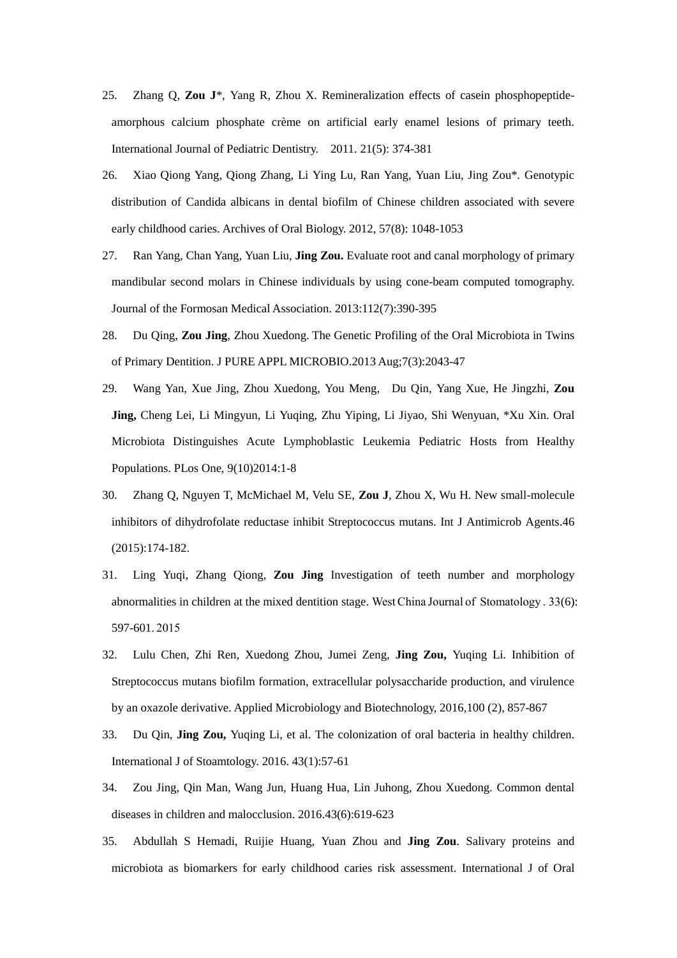- 25. [Zhang Q,](http://www.ncbi.nlm.nih.gov/pubmed?term=%22Zhang%20Q%22%5BAuthor%5D) **[Zou J](http://www.ncbi.nlm.nih.gov/pubmed?term=%22Zou%20J%22%5BAuthor%5D)**\*, [Yang R,](http://www.ncbi.nlm.nih.gov/pubmed?term=%22Yang%20R%22%5BAuthor%5D) [Zhou X.](http://www.ncbi.nlm.nih.gov/pubmed?term=%22Zhou%20X%22%5BAuthor%5D) Remineralization effects of casein phosphopeptideamorphous calcium phosphate crème on artificial early enamel lesions of primary teeth. International Journal of Pediatric Dentistry. 2011. 21(5): 374-381
- 26. Xiao Qiong Yang, Qiong Zhang, Li Ying Lu, Ran Yang, Yuan Liu, Jing Zou\*. Genotypic distribution of Candida albicans in dental biofilm of Chinese children associated with severe early childhood caries. Archives of Oral Biology. 2012, 57(8): 1048-1053
- 27. Ran Yang, Chan Yang, Yuan Liu, **Jing Zou.** Evaluate root and canal morphology of primary mandibular second molars in Chinese individuals by using cone-beam computed tomography. Journal of the Formosan Medical Association. 2013:112(7):390-395
- 28. Du Qing, **Zou Jing**, Zhou Xuedong. The Genetic Profiling of the Oral Microbiota in Twins of Primary Dentition. J PURE APPL MICROBIO.2013 Aug;7(3):2043-47
- 29. Wang Yan, Xue Jing, Zhou Xuedong, You Meng, Du Qin, Yang Xue, He Jingzhi, **Zou Jing,** Cheng Lei, Li Mingyun, Li Yuqing, Zhu Yiping, Li Jiyao, Shi Wenyuan, \*Xu Xin. Oral Microbiota Distinguishes Acute Lymphoblastic Leukemia Pediatric Hosts from Healthy Populations. PLos One, 9(10)2014:1-8
- 30. Zhang Q, Nguyen T, McMichael M, Velu SE, **Zou J**, Zhou X, Wu H. New small-molecule inhibitors of dihydrofolate reductase inhibit Streptococcus mutans. Int J Antimicrob Agents.46 (2015):174-182.
- 31. Ling Yuqi, Zhang Qiong, **Zou Jing** Investigation of teeth number and morphology abnormalities in children at the mixed dentition stage. West China Journal of Stomatology . 33(6): 597-601. 2015
- 32. Lulu Chen, Zhi Ren, Xuedong Zhou, Jumei Zeng, **Jing Zou,** Yuqing Li. Inhibition of Streptococcus mutans biofilm formation, extracellular polysaccharide production, and virulence by an oxazole derivative. Applied Microbiology and Biotechnology, 2016,100 (2), 857-867
- 33. Du Qin, **Jing Zou,** Yuqing Li, et al. The colonization of oral bacteria in healthy children. International J of Stoamtology. 2016. 43(1):57-61
- 34. Zou Jing, Qin Man, Wang Jun, Huang Hua, Lin Juhong, Zhou Xuedong. Common dental diseases in children and malocclusion. 2016.43(6):619-623
- 35. Abdullah S Hemadi, Ruijie Huang, Yuan Zhou and **Jing Zou**. Salivary proteins and microbiota as biomarkers for early childhood caries risk assessment. International J of Oral